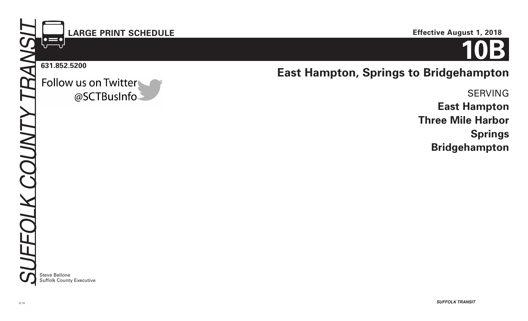07.18

# **LARGE PRINT SCHEDULE**

#### **631.852.5200**

│●〓●<br>∪──∪

Follow us on Twitter @SCTBusInfo **East Hampton, Springs to Bridgehampton**

SERVING **East Hampton Three Mile Harbor Springs Bridgehampton**

**Steve Bellone** Suffolk County Executive **Effective August 1, 2018**

**10B**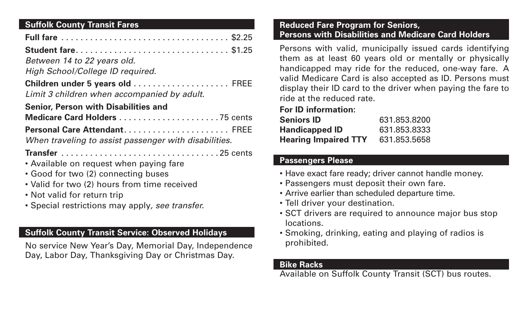# **Suffolk County Transit Fares**

| Student fare \$1.25                                                             |  |
|---------------------------------------------------------------------------------|--|
| Between 14 to 22 years old.                                                     |  |
| High School/College ID required.                                                |  |
| Children under 5 years old  FREE<br>Limit 3 children when accompanied by adult. |  |
| <b>Senior, Person with Disabilities and</b>                                     |  |
| Medicare Card Holders 75 cents                                                  |  |
| Personal Care Attendant FREE                                                    |  |
| When traveling to assist passenger with disabilities.                           |  |
|                                                                                 |  |
| • Available on request when paying fare                                         |  |
| • Good for two (2) connecting buses                                             |  |
| • Valid for two (2) hours from time received                                    |  |
| • Not valid for return trip                                                     |  |
| • Special restrictions may apply, see transfer.                                 |  |

# **Suffolk County Transit Service: Observed Holidays**

No service New Year's Day, Memorial Day, Independence Day, Labor Day, Thanksgiving Day or Christmas Day.

### **Reduced Fare Program for Seniors, Persons with Disabilities and Medicare Card Holders**

Persons with valid, municipally issued cards identifying them as at least 60 years old or mentally or physically handicapped may ride for the reduced, one-way fare. A valid Medicare Card is also accepted as ID. Persons must display their ID card to the driver when paying the fare to ride at the reduced rate.

# **For ID information:**

| <b>Seniors ID</b>           | 631.853.8200 |
|-----------------------------|--------------|
| <b>Handicapped ID</b>       | 631.853.8333 |
| <b>Hearing Impaired TTY</b> | 631.853.5658 |

# **Passengers Please**

- Have exact fare ready; driver cannot handle money.
- Passengers must deposit their own fare.
- Arrive earlier than scheduled departure time.
- Tell driver your destination.
- SCT drivers are required to announce major bus stop locations.
- Smoking, drinking, eating and playing of radios is prohibited.

### **Bike Racks**

Available on Suffolk County Transit (SCT) bus routes.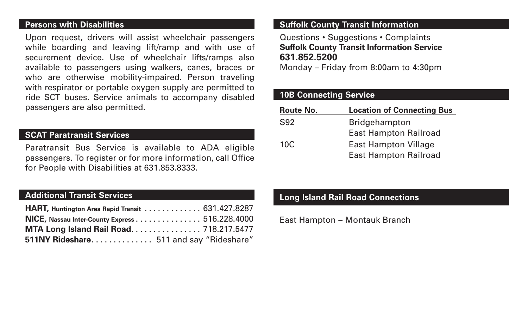#### **Persons with Disabilities**

Upon request, drivers will assist wheelchair passengers while boarding and leaving lift/ramp and with use of securement device. Use of wheelchair lifts/ramps also available to passengers using walkers, canes, braces or who are otherwise mobility-impaired. Person traveling with respirator or portable oxygen supply are permitted to ride SCT buses. Service animals to accompany disabled passengers are also permitted.

### **SCAT Paratransit Services**

Paratransit Bus Service is available to ADA eligible passengers. To register or for more information, call Office for People with Disabilities at 631.853.8333.

### **Additional Transit Services**

| HART, Huntington Area Rapid Transit 631.427.8287 |  |
|--------------------------------------------------|--|
| NICE, Nassau Inter-County Express 516.228.4000   |  |
| MTA Long Island Rail Road 718.217.5477           |  |
| 511NY Rideshare 511 and say "Rideshare"          |  |

## **Suffolk County Transit Information**

Questions • Suggestions • Complaints **Suffolk County Transit Information Service 631.852.5200**

Monday – Friday from 8:00am to 4:30pm

### **10B Connecting Service**

| <b>Location of Connecting Bus</b> |
|-----------------------------------|
| <b>Bridgehampton</b>              |
| <b>East Hampton Railroad</b>      |
| <b>East Hampton Village</b>       |
| <b>East Hampton Railroad</b>      |
|                                   |

## **Long Island Rail Road Connections**

East Hampton – Montauk Branch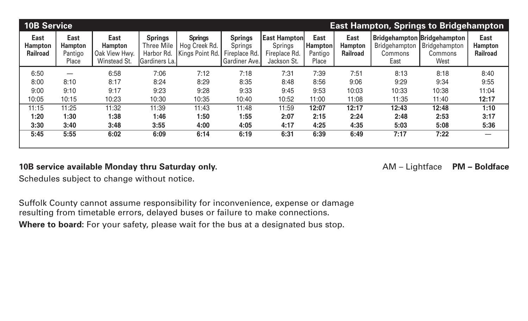| <b>10B Service</b><br><b>East Hampton, Springs to Bridgehampton</b> |                                            |                                                                |                                                                    |                                                    |                                                                    |                                                                       |                                                   |                                                  |                                                                               |                                  |                                                  |
|---------------------------------------------------------------------|--------------------------------------------|----------------------------------------------------------------|--------------------------------------------------------------------|----------------------------------------------------|--------------------------------------------------------------------|-----------------------------------------------------------------------|---------------------------------------------------|--------------------------------------------------|-------------------------------------------------------------------------------|----------------------------------|--------------------------------------------------|
| <b>East</b><br><b>Hampton</b><br><b>Railroad</b>                    | East<br><b>Hampton</b><br>Pantigo<br>Place | <b>East</b><br><b>Hampton</b><br>Oak View Hwy.<br>Winstead St. | <b>Springs</b><br><b>Three Mile</b><br>Harbor Rd.<br>Gardiners La. | <b>Springs</b><br>Hog Creek Rd.<br>Kings Point Rd. | <b>Springs</b><br><b>Springs</b><br>Fireplace Rd.<br>Gardiner Ave. | <b>East Hampton</b><br><b>Springs</b><br>Fireplace Rd.<br>Jackson St. | <b>East</b><br><b>Hampton</b><br>Pantigo<br>Place | <b>East</b><br><b>Hampton</b><br><b>Railroad</b> | <b>Bridgehampton Bridgehampton</b><br>Bridgehampton<br><b>Commons</b><br>East | Bridgehampton<br>Commons<br>West | <b>East</b><br><b>Hampton</b><br><b>Railroad</b> |
| 6:50                                                                |                                            | 6:58                                                           | 7:06                                                               | 7:12                                               | 7:18                                                               | 7:31                                                                  | 7:39                                              | 7:51                                             | 8:13                                                                          | 8:18                             | 8:40                                             |
| 8:00                                                                | 8:10                                       | 8:17                                                           | 8:24                                                               | 8:29                                               | 8:35                                                               | 8:48                                                                  | 8:56                                              | 9:06                                             | 9:29                                                                          | 9:34                             | 9:55                                             |
| 9:00                                                                | 9:10                                       | 9:17                                                           | 9:23                                                               | 9:28                                               | 9:33                                                               | 9:45                                                                  | 9:53                                              | 10:03                                            | 10:33                                                                         | 10:38                            | 11:04                                            |
| 10:05                                                               | 10:15                                      | 10:23                                                          | 10:30                                                              | 10:35                                              | 10:40                                                              | 10:52                                                                 | 11:00                                             | 11:08                                            | 11:35                                                                         | 11:40                            | 12:17                                            |
| 11:15                                                               | 11:25                                      | 11:32                                                          | 11:39                                                              | 11:43                                              | 11:48                                                              | 11:59                                                                 | 12:07                                             | 12:17                                            | 12:43                                                                         | 12:48                            | 1:10                                             |
| 1:20                                                                | 1:30                                       | 1:38                                                           | 1:46                                                               | 1:50                                               | 1:55                                                               | 2:07                                                                  | 2:15                                              | 2:24                                             | 2:48                                                                          | 2:53                             | 3:17                                             |
| 3:30                                                                | 3:40                                       | 3:48                                                           | 3:55                                                               | 4:00                                               | 4:05                                                               | 4:17                                                                  | 4:25                                              | 4:35                                             | 5:03                                                                          | 5:08                             | 5:36                                             |
| 5:45                                                                | 5:55                                       | 6:02                                                           | 6:09                                                               | 6:14                                               | 6:19                                                               | 6:31                                                                  | 6:39                                              | 6:49                                             | 7:17                                                                          | 7:22                             |                                                  |
|                                                                     |                                            |                                                                |                                                                    |                                                    |                                                                    |                                                                       |                                                   |                                                  |                                                                               |                                  |                                                  |

### **10B service available Monday thru Saturday only. AM – Lightface PM – Boldface**

Schedules subject to change without notice.

Suffolk County cannot assume responsibility for inconvenience, expense or damage resulting from timetable errors, delayed buses or failure to make connections. Where to board: For your safety, please wait for the bus at a designated bus stop.